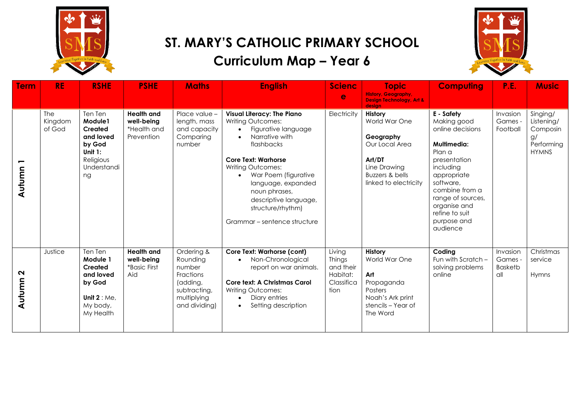

## **ST. MARY'S CATHOLIC PRIMARY SCHOOL Curriculum Map – Year 6**



| <b>Term</b>      | <b>RE</b>                | <b>RSHE</b>                                                                                          | <b>PSHE</b>                                                  | <b>Maths</b>                                                                                              | <b>English</b>                                                                                                                                                                                                                                                                                                                                              | <b>Scienc</b><br>e                                              | <b>Topic</b><br><b>History, Geography,</b><br><b>Design Technology, Art &amp;</b><br>desian                                          | <b>Computing</b>                                                                                                                                                                                                                    | P.E.                                         | <b>Music</b>                                                           |
|------------------|--------------------------|------------------------------------------------------------------------------------------------------|--------------------------------------------------------------|-----------------------------------------------------------------------------------------------------------|-------------------------------------------------------------------------------------------------------------------------------------------------------------------------------------------------------------------------------------------------------------------------------------------------------------------------------------------------------------|-----------------------------------------------------------------|--------------------------------------------------------------------------------------------------------------------------------------|-------------------------------------------------------------------------------------------------------------------------------------------------------------------------------------------------------------------------------------|----------------------------------------------|------------------------------------------------------------------------|
| Autumn           | The<br>Kingdom<br>of God | Ten Ten<br>Module1<br>Created<br>and loved<br>by God<br>Unit $1$ :<br>Religious<br>Understandi<br>ng | <b>Health and</b><br>well-being<br>*Health and<br>Prevention | Place value -<br>length, mass<br>and capacity<br>Comparing<br>number                                      | <b>Visual Literacy: The Piano</b><br><b>Writing Outcomes:</b><br>Figurative language<br>$\bullet$<br>Narrative with<br>$\bullet$<br>flashbacks<br><b>Core Text: Warhorse</b><br>Writing Outcomes:<br>War Poem (figurative<br>$\bullet$<br>language, expanded<br>noun phrases,<br>descriptive language,<br>structure/rhythm)<br>Grammar – sentence structure | Electricity                                                     | <b>History</b><br>World War One<br>Geography<br>Our Local Area<br>Art/DT<br>Line Drawing<br>Buzzers & bells<br>linked to electricity | E - Safety<br>Making good<br>online decisions<br>Multimedia:<br>Plan a<br>presentation<br>including<br>appropriate<br>software,<br>combine from a<br>range of sources,<br>organise and<br>refine to suit<br>purpose and<br>audience | Invasion<br>Games -<br>Football              | Singing/<br>Listening/<br>Composin<br>g/<br>Performing<br><b>HYMNS</b> |
| $\sim$<br>Autumn | Justice                  | Ten Ten<br>Module 1<br>Created<br>and loved<br>by God<br>Unit $2 : Me$ ,<br>My body,<br>My Health    | <b>Health and</b><br>well-beina<br>*Basic First<br>Aid       | Ordering &<br>Rounding<br>number<br>Fractions<br>(adding,<br>subtracting,<br>multiplying<br>and dividing) | <b>Core Text: Warhorse (cont)</b><br>Non-Chronological<br>$\bullet$<br>report on war animals.<br>Core text: A Christmas Carol<br>Writing Outcomes:<br>Diary entries<br>$\bullet$<br>Setting description<br>$\bullet$                                                                                                                                        | Living<br>Things<br>and their<br>Habitat:<br>Classifica<br>tion | History<br>World War One<br>Art<br>Propaganda<br><b>Posters</b><br>Noah's Ark print<br>stencils - Year of<br>The Word                | Coding<br>Fun with Scratch -<br>solving problems<br>online                                                                                                                                                                          | Invasion<br>Games -<br><b>Basketb</b><br>all | Christmas<br>service<br>Hymns                                          |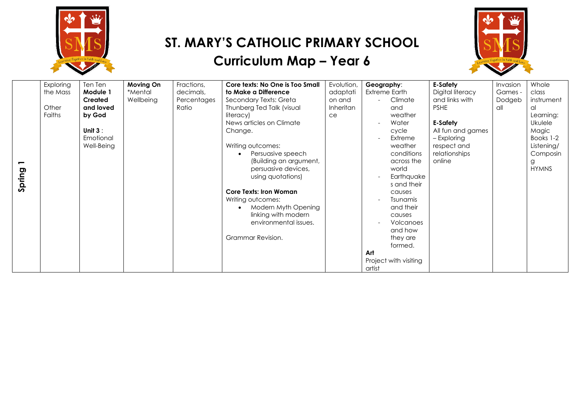

# **ST. MARY'S CATHOLIC PRIMARY SCHOOL**





|        | Exploring | Ten Ten    | Moving On | Fractions,  | Core texts: No One is Too Small  | Evolution,       | Geography:            | <b>E-Safety</b>   | Invasion | Whole        |
|--------|-----------|------------|-----------|-------------|----------------------------------|------------------|-----------------------|-------------------|----------|--------------|
|        | the Mass  | Module 1   | *Mental   | decimals,   | to Make a Difference             | adaptati         | Extreme Earth         | Digital literacy  | Games -  | class        |
|        |           | Created    | Wellbeing | Percentages | Secondary Texts: Greta           | on and           | Climate               | and links with    | Dodgeb   | instrument   |
|        | Other     | and loved  |           | Ratio       | Thunberg Ted Talk (visual        | <b>Inheritan</b> | and                   | <b>PSHE</b>       | all      | al.          |
|        | Faiths    | by God     |           |             | literacy)                        | ce               | weather               |                   |          | Learning:    |
|        |           |            |           |             | News articles on Climate         |                  | Water                 | <b>E-Safety</b>   |          | Ukulele      |
|        |           | Unit $3:$  |           |             | Change.                          |                  | cycle                 | All fun and games |          | Magic        |
|        |           | Emotional  |           |             |                                  |                  | Extreme               | - Exploring       |          | Books 1-2    |
|        |           | Well-Being |           |             | Writing outcomes:                |                  | weather               | respect and       |          | Listening/   |
|        |           |            |           |             | Persuasive speech                |                  | conditions            | relationships     |          | Composin     |
| −      |           |            |           |             | (Building an argument,           |                  | across the            | online            |          | g            |
|        |           |            |           |             | persuasive devices,              |                  | world                 |                   |          | <b>HYMNS</b> |
| Spring |           |            |           |             | using quotations)                |                  | Earthquake            |                   |          |              |
|        |           |            |           |             |                                  |                  | s and their           |                   |          |              |
|        |           |            |           |             | <b>Core Texts: Iron Woman</b>    |                  | causes                |                   |          |              |
|        |           |            |           |             | Writing outcomes:                |                  | <b>Tsunamis</b>       |                   |          |              |
|        |           |            |           |             | Modern Myth Opening<br>$\bullet$ |                  | and their             |                   |          |              |
|        |           |            |           |             | linking with modern              |                  | causes                |                   |          |              |
|        |           |            |           |             | environmental issues.            |                  | Volcanoes             |                   |          |              |
|        |           |            |           |             |                                  |                  | and how               |                   |          |              |
|        |           |            |           |             | Grammar Revision.                |                  | they are              |                   |          |              |
|        |           |            |           |             |                                  |                  | formed.               |                   |          |              |
|        |           |            |           |             |                                  |                  | Art                   |                   |          |              |
|        |           |            |           |             |                                  |                  | Project with visiting |                   |          |              |
|        |           |            |           |             |                                  |                  | artist                |                   |          |              |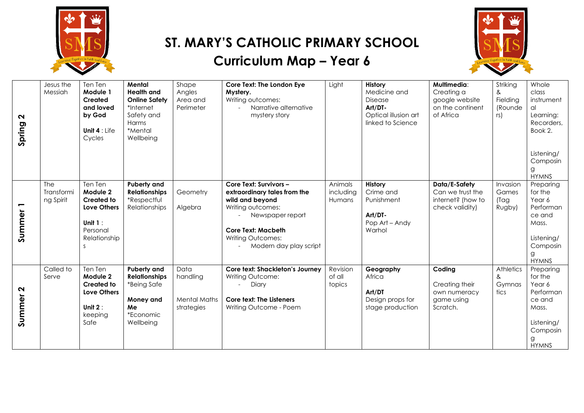

## **ST. MARY'S CATHOLIC PRIMARY SCHOOL**

#### **Curriculum Map – Year 6**



| $\mathbf{\Omega}$<br>Spring | Jesus the<br>Messiah           | Ten Ten<br>Module 1<br>Created<br>and loved<br>by God<br>Unit 4 : Life<br>Cycles                                         | Mental<br><b>Health and</b><br><b>Online Safety</b><br>*Internet<br>Safety and<br>Harms<br>*Mental<br>Wellbeing | Shape<br>Angles<br>Area and<br>Perimeter              | Core Text: The London Eye<br>Mystery.<br>Writing outcomes:<br>Narrative alternative<br>mystery story                                                                                                  | Light                          | History<br>Medicine and<br>Disease<br>Art/DT-<br>Optical illusion art<br>linked to Science | Multimedia:<br>Creating a<br>google website<br>on the continent<br>of Africa | Striking<br>&<br>Fielding<br>(Rounde<br>rs)  | Whole<br>class<br>instrument<br>al<br>Learning:<br>Recorders,<br>Book 2.<br>Listening/<br>Composin<br>g<br><b>HYMNS</b> |
|-----------------------------|--------------------------------|--------------------------------------------------------------------------------------------------------------------------|-----------------------------------------------------------------------------------------------------------------|-------------------------------------------------------|-------------------------------------------------------------------------------------------------------------------------------------------------------------------------------------------------------|--------------------------------|--------------------------------------------------------------------------------------------|------------------------------------------------------------------------------|----------------------------------------------|-------------------------------------------------------------------------------------------------------------------------|
| Summer                      | The<br>Transformi<br>ng Spirit | Ten Ten<br>Module 2<br><b>Created to</b><br><b>Love Others</b><br>Unit $1$ :<br>Personal<br>Relationship<br><sub>S</sub> | <b>Puberty and</b><br><b>Relationships</b><br>*Respectful<br><b>Relationships</b>                               | Geometry<br>Algebra                                   | Core Text: Survivors -<br>extraordinary tales from the<br>wild and beyond<br>Writing outcomes:<br>Newspaper report<br><b>Core Text: Macbeth</b><br><b>Writing Outcomes:</b><br>Modern day play script | Animals<br>including<br>Humans | History<br>Crime and<br>Punishment<br>Art/DT-<br>Pop Art - Andy<br>Warhol                  | Data/E-Safety<br>Can we trust the<br>internet? (how to<br>check validity)    | Invasion<br>Games<br>(Tag<br>Rugby)          | Preparing<br>for the<br>Year 6<br>Performan<br>ce and<br>Mass.<br>Listening/<br>Composin<br>g<br><b>HYMNS</b>           |
| $\mathbf{\Omega}$<br>Summer | Called to<br>Serve             | Ten Ten<br>Module 2<br><b>Created to</b><br>Love Others<br>Unit $2:$<br>keeping<br>Safe                                  | Puberty and<br><b>Relationships</b><br>*Being Safe<br>Money and<br>Me<br>*Economic<br>Wellbeing                 | Data<br>handling<br><b>Mental Maths</b><br>strategies | Core text: Shackleton's Journey<br>Writing Outcome:<br>- Diary<br>Core text: The Listeners<br>Writing Outcome - Poem                                                                                  | Revision<br>of all<br>topics   | Geography<br>Africa<br>Art/DT<br>Design props for<br>stage production                      | Coding<br>Creating their<br>own numeracy<br>game using<br>Scratch.           | Athletics<br>$\mathsf{\&}$<br>Gymnas<br>tics | Preparing<br>for the<br>Year 6<br>Performan<br>ce and<br>Mass.<br>Listening/<br>Composin<br>g<br><b>HYMNS</b>           |